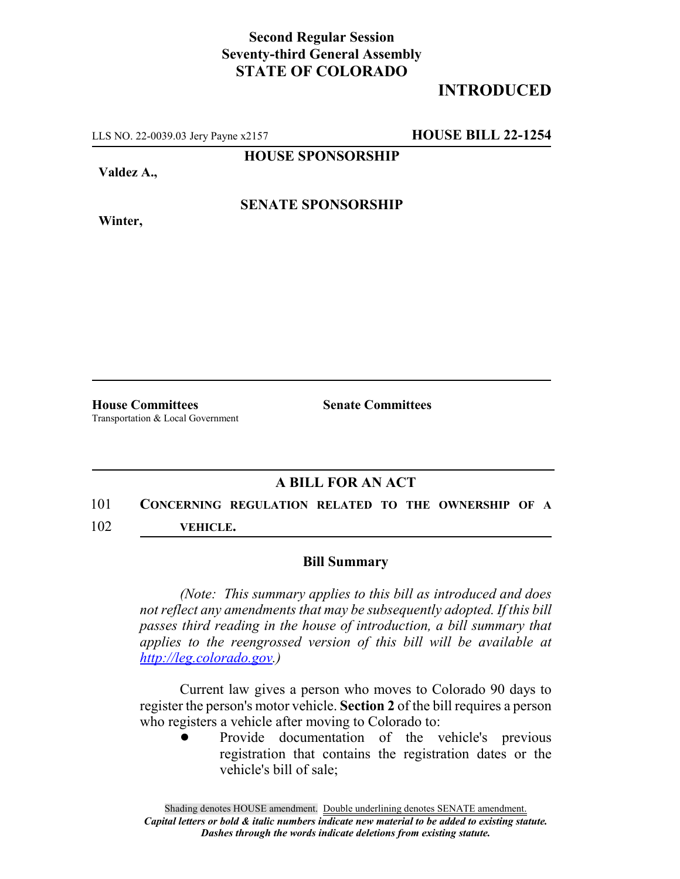#### **Second Regular Session Seventy-third General Assembly STATE OF COLORADO**

## **INTRODUCED**

LLS NO. 22-0039.03 Jery Payne x2157 **HOUSE BILL 22-1254**

**HOUSE SPONSORSHIP**

**Valdez A.,**

**Winter,**

**SENATE SPONSORSHIP**

Transportation & Local Government

**House Committees Senate Committees**

### **A BILL FOR AN ACT**

# 101 **CONCERNING REGULATION RELATED TO THE OWNERSHIP OF A**

102 **VEHICLE.**

#### **Bill Summary**

*(Note: This summary applies to this bill as introduced and does not reflect any amendments that may be subsequently adopted. If this bill passes third reading in the house of introduction, a bill summary that applies to the reengrossed version of this bill will be available at http://leg.colorado.gov.)*

Current law gives a person who moves to Colorado 90 days to register the person's motor vehicle. **Section 2** of the bill requires a person who registers a vehicle after moving to Colorado to:

> ! Provide documentation of the vehicle's previous registration that contains the registration dates or the vehicle's bill of sale;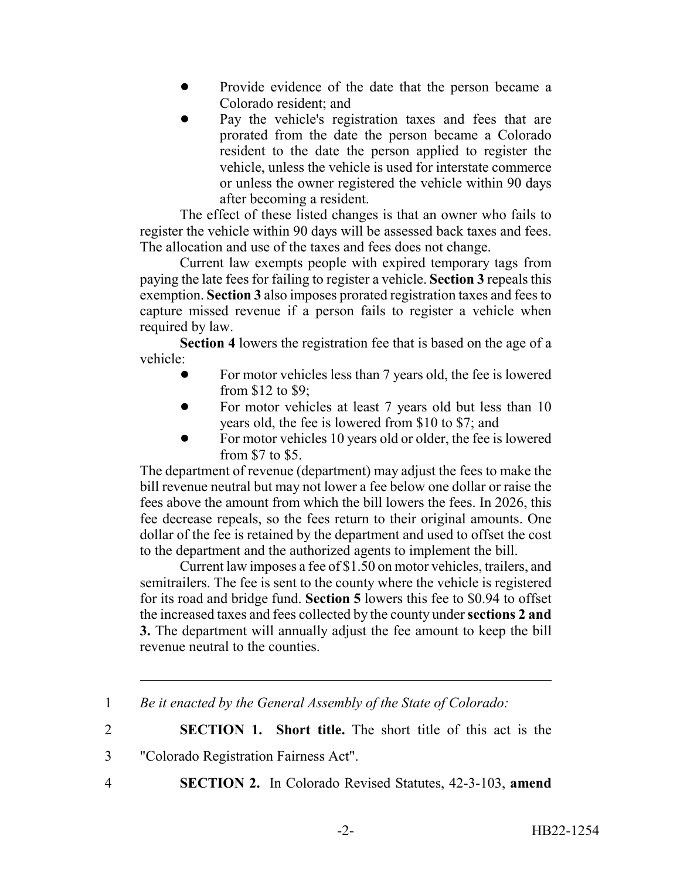- ! Provide evidence of the date that the person became a Colorado resident; and
- ! Pay the vehicle's registration taxes and fees that are prorated from the date the person became a Colorado resident to the date the person applied to register the vehicle, unless the vehicle is used for interstate commerce or unless the owner registered the vehicle within 90 days after becoming a resident.

The effect of these listed changes is that an owner who fails to register the vehicle within 90 days will be assessed back taxes and fees. The allocation and use of the taxes and fees does not change.

Current law exempts people with expired temporary tags from paying the late fees for failing to register a vehicle. **Section 3** repeals this exemption. **Section 3** also imposes prorated registration taxes and fees to capture missed revenue if a person fails to register a vehicle when required by law.

**Section 4** lowers the registration fee that is based on the age of a vehicle:

- For motor vehicles less than 7 years old, the fee is lowered from \$12 to \$9;
- ! For motor vehicles at least 7 years old but less than 10 years old, the fee is lowered from \$10 to \$7; and
- For motor vehicles 10 years old or older, the fee is lowered from \$7 to \$5.

The department of revenue (department) may adjust the fees to make the bill revenue neutral but may not lower a fee below one dollar or raise the fees above the amount from which the bill lowers the fees. In 2026, this fee decrease repeals, so the fees return to their original amounts. One dollar of the fee is retained by the department and used to offset the cost to the department and the authorized agents to implement the bill.

Current law imposes a fee of \$1.50 on motor vehicles, trailers, and semitrailers. The fee is sent to the county where the vehicle is registered for its road and bridge fund. **Section 5** lowers this fee to \$0.94 to offset the increased taxes and fees collected by the county under **sections 2 and 3.** The department will annually adjust the fee amount to keep the bill revenue neutral to the counties.

2 **SECTION 1. Short title.** The short title of this act is the

- 3 "Colorado Registration Fairness Act".
- 
- 4 **SECTION 2.** In Colorado Revised Statutes, 42-3-103, **amend**

<sup>1</sup> *Be it enacted by the General Assembly of the State of Colorado:*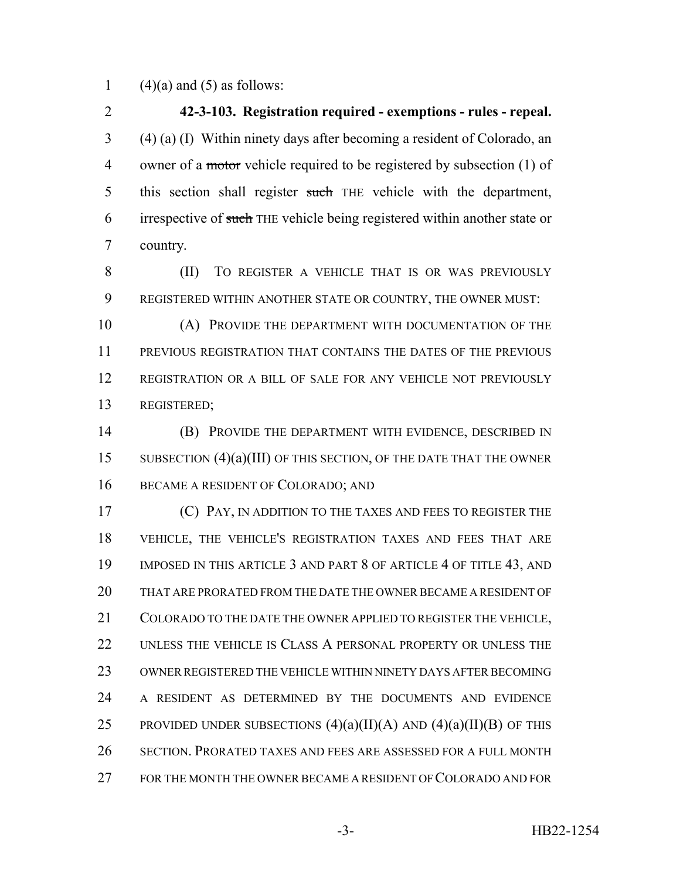1 (4)(a) and (5) as follows:

 **42-3-103. Registration required - exemptions - rules - repeal.** (4) (a) (I) Within ninety days after becoming a resident of Colorado, an 4 owner of a motor vehicle required to be registered by subsection (1) of 5 this section shall register such THE vehicle with the department, 6 irrespective of such THE vehicle being registered within another state or country.

 (II) TO REGISTER A VEHICLE THAT IS OR WAS PREVIOUSLY REGISTERED WITHIN ANOTHER STATE OR COUNTRY, THE OWNER MUST:

 (A) PROVIDE THE DEPARTMENT WITH DOCUMENTATION OF THE PREVIOUS REGISTRATION THAT CONTAINS THE DATES OF THE PREVIOUS REGISTRATION OR A BILL OF SALE FOR ANY VEHICLE NOT PREVIOUSLY REGISTERED;

 (B) PROVIDE THE DEPARTMENT WITH EVIDENCE, DESCRIBED IN 15 SUBSECTION (4)(a)(III) OF THIS SECTION, OF THE DATE THAT THE OWNER 16 BECAME A RESIDENT OF COLORADO; AND

 (C) PAY, IN ADDITION TO THE TAXES AND FEES TO REGISTER THE VEHICLE, THE VEHICLE'S REGISTRATION TAXES AND FEES THAT ARE 19 IMPOSED IN THIS ARTICLE 3 AND PART 8 OF ARTICLE 4 OF TITLE 43, AND THAT ARE PRORATED FROM THE DATE THE OWNER BECAME A RESIDENT OF 21 COLORADO TO THE DATE THE OWNER APPLIED TO REGISTER THE VEHICLE. UNLESS THE VEHICLE IS CLASS A PERSONAL PROPERTY OR UNLESS THE OWNER REGISTERED THE VEHICLE WITHIN NINETY DAYS AFTER BECOMING A RESIDENT AS DETERMINED BY THE DOCUMENTS AND EVIDENCE 25 PROVIDED UNDER SUBSECTIONS  $(4)(a)(II)(A)$  and  $(4)(a)(II)(B)$  of this SECTION. PRORATED TAXES AND FEES ARE ASSESSED FOR A FULL MONTH FOR THE MONTH THE OWNER BECAME A RESIDENT OF COLORADO AND FOR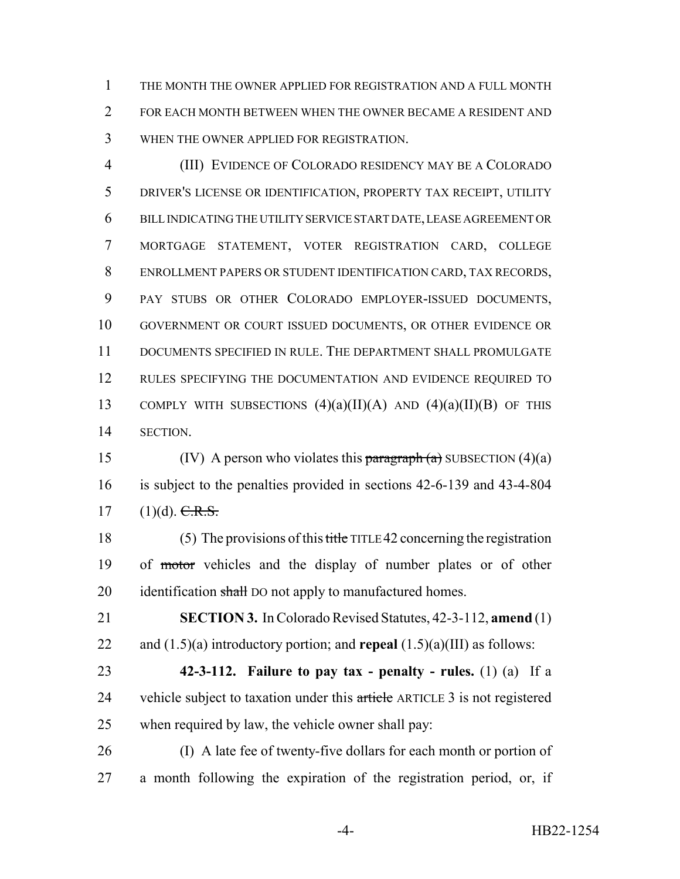THE MONTH THE OWNER APPLIED FOR REGISTRATION AND A FULL MONTH FOR EACH MONTH BETWEEN WHEN THE OWNER BECAME A RESIDENT AND WHEN THE OWNER APPLIED FOR REGISTRATION.

 (III) EVIDENCE OF COLORADO RESIDENCY MAY BE A COLORADO DRIVER'S LICENSE OR IDENTIFICATION, PROPERTY TAX RECEIPT, UTILITY BILL INDICATING THE UTILITY SERVICE START DATE, LEASE AGREEMENT OR MORTGAGE STATEMENT, VOTER REGISTRATION CARD, COLLEGE ENROLLMENT PAPERS OR STUDENT IDENTIFICATION CARD, TAX RECORDS, PAY STUBS OR OTHER COLORADO EMPLOYER-ISSUED DOCUMENTS, GOVERNMENT OR COURT ISSUED DOCUMENTS, OR OTHER EVIDENCE OR DOCUMENTS SPECIFIED IN RULE. THE DEPARTMENT SHALL PROMULGATE 12 RULES SPECIFYING THE DOCUMENTATION AND EVIDENCE REQUIRED TO 13 COMPLY WITH SUBSECTIONS  $(4)(a)(II)(A)$  AND  $(4)(a)(II)(B)$  OF THIS SECTION.

15 (IV) A person who violates this paragraph  $(a)$  SUBSECTION  $(4)(a)$  is subject to the penalties provided in sections 42-6-139 and 43-4-804 17  $(1)(d)$ . C.R.S.

 (5) The provisions of this title TITLE 42 concerning the registration of motor vehicles and the display of number plates or of other 20 identification shall DO not apply to manufactured homes.

 **SECTION 3.** In Colorado Revised Statutes, 42-3-112, **amend** (1) and (1.5)(a) introductory portion; and **repeal** (1.5)(a)(III) as follows:

 **42-3-112. Failure to pay tax - penalty - rules.** (1) (a) If a 24 vehicle subject to taxation under this article ARTICLE 3 is not registered when required by law, the vehicle owner shall pay:

 (I) A late fee of twenty-five dollars for each month or portion of a month following the expiration of the registration period, or, if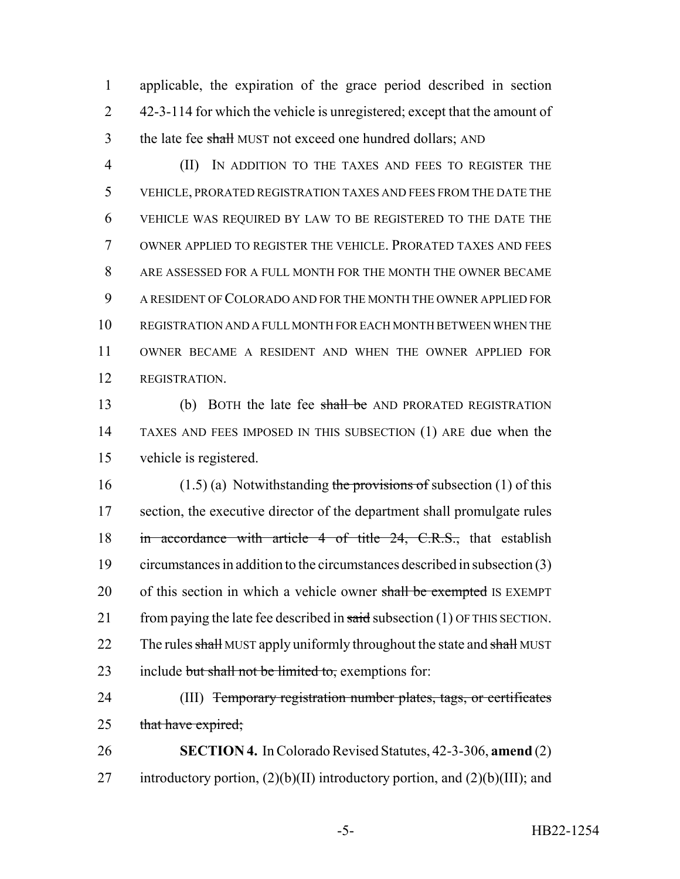1 applicable, the expiration of the grace period described in section 2 42-3-114 for which the vehicle is unregistered; except that the amount of 3 the late fee shall MUST not exceed one hundred dollars; AND

 (II) IN ADDITION TO THE TAXES AND FEES TO REGISTER THE VEHICLE, PRORATED REGISTRATION TAXES AND FEES FROM THE DATE THE VEHICLE WAS REQUIRED BY LAW TO BE REGISTERED TO THE DATE THE OWNER APPLIED TO REGISTER THE VEHICLE. PRORATED TAXES AND FEES ARE ASSESSED FOR A FULL MONTH FOR THE MONTH THE OWNER BECAME A RESIDENT OF COLORADO AND FOR THE MONTH THE OWNER APPLIED FOR REGISTRATION AND A FULL MONTH FOR EACH MONTH BETWEEN WHEN THE OWNER BECAME A RESIDENT AND WHEN THE OWNER APPLIED FOR REGISTRATION.

13 (b) BOTH the late fee shall be AND PRORATED REGISTRATION 14 TAXES AND FEES IMPOSED IN THIS SUBSECTION (1) ARE due when the 15 vehicle is registered.

16 (1.5) (a) Notwithstanding the provisions of subsection (1) of this 17 section, the executive director of the department shall promulgate rules 18 in accordance with article 4 of title 24, C.R.S., that establish 19 circumstances in addition to the circumstances described in subsection (3) 20 of this section in which a vehicle owner shall be exempted IS EXEMPT 21 from paying the late fee described in  $said$  subsection (1) OF THIS SECTION. 22 The rules shall MUST apply uniformly throughout the state and shall MUST 23 include but shall not be limited to, exemptions for:

24 (III) Temporary registration number plates, tags, or certificates 25 that have expired;

26 **SECTION 4.** In Colorado Revised Statutes, 42-3-306, **amend** (2) 27 introductory portion,  $(2)(b)(II)$  introductory portion, and  $(2)(b)(III)$ ; and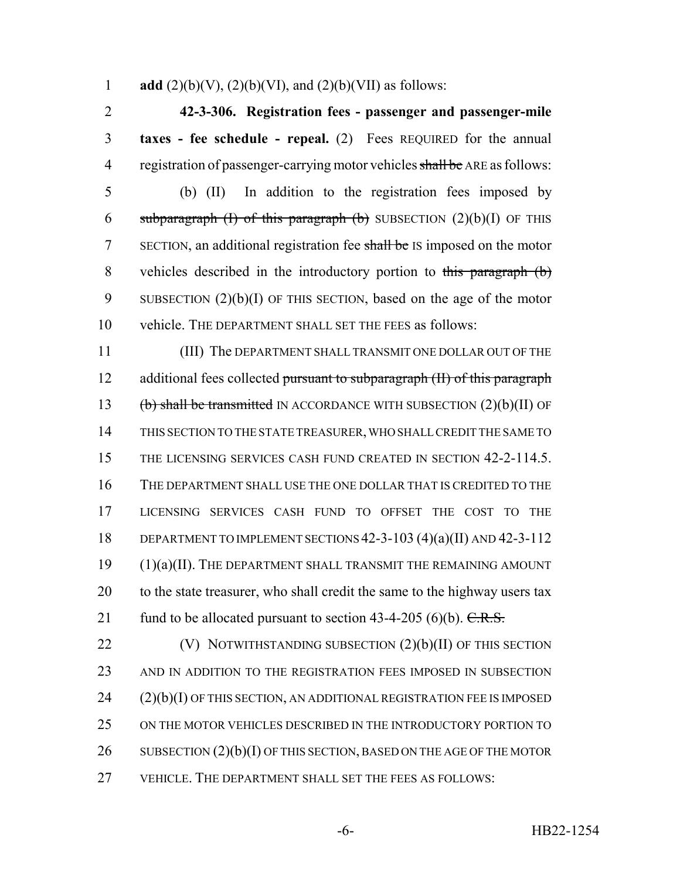1 **add** (2)(b)(V), (2)(b)(VI), and (2)(b)(VII) as follows:

2 **42-3-306. Registration fees - passenger and passenger-mile** 3 **taxes - fee schedule - repeal.** (2) Fees REQUIRED for the annual 4 registration of passenger-carrying motor vehicles shall be ARE as follows:

5 (b) (II) In addition to the registration fees imposed by 6 subparagraph (I) of this paragraph (b) SUBSECTION  $(2)(b)(I)$  OF THIS 7 SECTION, an additional registration fee shall be IS imposed on the motor 8 vehicles described in the introductory portion to this paragraph (b) 9 SUBSECTION (2)(b)(I) OF THIS SECTION, based on the age of the motor 10 vehicle. THE DEPARTMENT SHALL SET THE FEES as follows:

11 (III) The DEPARTMENT SHALL TRANSMIT ONE DOLLAR OUT OF THE 12 additional fees collected pursuant to subparagraph (II) of this paragraph 13 (b) shall be transmitted IN ACCORDANCE WITH SUBSECTION  $(2)(b)(II)$  OF 14 THIS SECTION TO THE STATE TREASURER, WHO SHALL CREDIT THE SAME TO 15 THE LICENSING SERVICES CASH FUND CREATED IN SECTION 42-2-114.5. 16 THE DEPARTMENT SHALL USE THE ONE DOLLAR THAT IS CREDITED TO THE 17 LICENSING SERVICES CASH FUND TO OFFSET THE COST TO THE 18 DEPARTMENT TO IMPLEMENT SECTIONS 42-3-103 (4)(a)(II) AND 42-3-112 19 (1)(a)(II). THE DEPARTMENT SHALL TRANSMIT THE REMAINING AMOUNT 20 to the state treasurer, who shall credit the same to the highway users tax 21 fund to be allocated pursuant to section  $43-4-205$  (6)(b). C.R.S.

 $(V)$  NOTWITHSTANDING SUBSECTION  $(2)(b)(II)$  OF THIS SECTION AND IN ADDITION TO THE REGISTRATION FEES IMPOSED IN SUBSECTION (2)(b)(I) OF THIS SECTION, AN ADDITIONAL REGISTRATION FEE IS IMPOSED ON THE MOTOR VEHICLES DESCRIBED IN THE INTRODUCTORY PORTION TO 26 SUBSECTION  $(2)(b)(I)$  OF THIS SECTION, BASED ON THE AGE OF THE MOTOR VEHICLE. THE DEPARTMENT SHALL SET THE FEES AS FOLLOWS: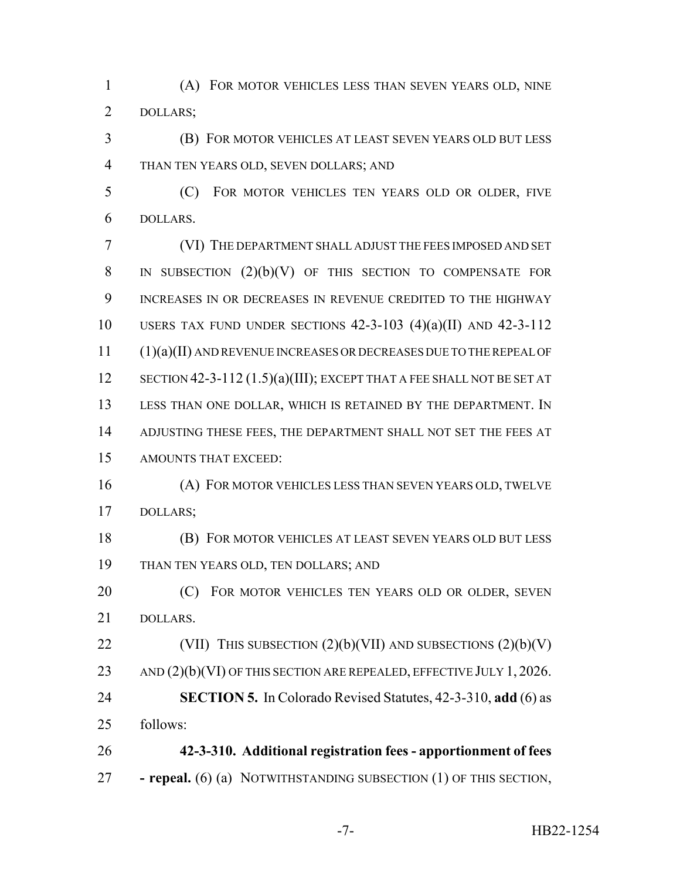(A) FOR MOTOR VEHICLES LESS THAN SEVEN YEARS OLD, NINE DOLLARS;

 (B) FOR MOTOR VEHICLES AT LEAST SEVEN YEARS OLD BUT LESS THAN TEN YEARS OLD, SEVEN DOLLARS; AND

 (C) FOR MOTOR VEHICLES TEN YEARS OLD OR OLDER, FIVE DOLLARS.

 (VI) THE DEPARTMENT SHALL ADJUST THE FEES IMPOSED AND SET 8 IN SUBSECTION  $(2)(b)(V)$  OF THIS SECTION TO COMPENSATE FOR INCREASES IN OR DECREASES IN REVENUE CREDITED TO THE HIGHWAY USERS TAX FUND UNDER SECTIONS 42-3-103 (4)(a)(II) AND 42-3-112 (1)(a)(II) AND REVENUE INCREASES OR DECREASES DUE TO THE REPEAL OF 12 SECTION 42-3-112 (1.5)(a)(III); EXCEPT THAT A FEE SHALL NOT BE SET AT LESS THAN ONE DOLLAR, WHICH IS RETAINED BY THE DEPARTMENT. IN ADJUSTING THESE FEES, THE DEPARTMENT SHALL NOT SET THE FEES AT AMOUNTS THAT EXCEED:

 (A) FOR MOTOR VEHICLES LESS THAN SEVEN YEARS OLD, TWELVE DOLLARS;

 (B) FOR MOTOR VEHICLES AT LEAST SEVEN YEARS OLD BUT LESS THAN TEN YEARS OLD, TEN DOLLARS; AND

**(C)** FOR MOTOR VEHICLES TEN YEARS OLD OR OLDER, SEVEN DOLLARS.

22 (VII) THIS SUBSECTION  $(2)(b)(VII)$  AND SUBSECTIONS  $(2)(b)(V)$ 23 AND (2)(b)(VI) OF THIS SECTION ARE REPEALED, EFFECTIVE JULY 1, 2026. **SECTION 5.** In Colorado Revised Statutes, 42-3-310, **add** (6) as

follows:

 **42-3-310. Additional registration fees - apportionment of fees - repeal.** (6) (a) NOTWITHSTANDING SUBSECTION (1) OF THIS SECTION,

-7- HB22-1254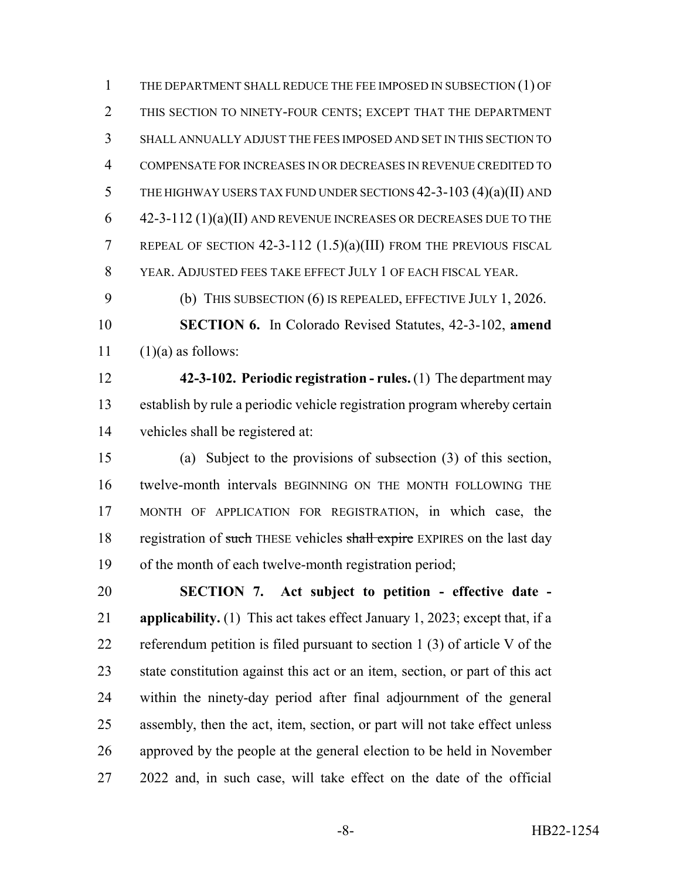THE DEPARTMENT SHALL REDUCE THE FEE IMPOSED IN SUBSECTION (1) OF THIS SECTION TO NINETY-FOUR CENTS; EXCEPT THAT THE DEPARTMENT SHALL ANNUALLY ADJUST THE FEES IMPOSED AND SET IN THIS SECTION TO COMPENSATE FOR INCREASES IN OR DECREASES IN REVENUE CREDITED TO 5 THE HIGHWAY USERS TAX FUND UNDER SECTIONS  $42-3-103$   $(4)(a)(II)$  and 42-3-112 (1)(a)(II) AND REVENUE INCREASES OR DECREASES DUE TO THE REPEAL OF SECTION 42-3-112 (1.5)(a)(III) FROM THE PREVIOUS FISCAL YEAR. ADJUSTED FEES TAKE EFFECT JULY 1 OF EACH FISCAL YEAR.

(b) THIS SUBSECTION (6) IS REPEALED, EFFECTIVE JULY 1, 2026.

 **SECTION 6.** In Colorado Revised Statutes, 42-3-102, **amend** 11  $(1)(a)$  as follows:

 **42-3-102. Periodic registration - rules.** (1) The department may establish by rule a periodic vehicle registration program whereby certain vehicles shall be registered at:

 (a) Subject to the provisions of subsection (3) of this section, twelve-month intervals BEGINNING ON THE MONTH FOLLOWING THE MONTH OF APPLICATION FOR REGISTRATION, in which case, the 18 registration of such THESE vehicles shall expire EXPIRES on the last day of the month of each twelve-month registration period;

 **SECTION 7. Act subject to petition - effective date - applicability.** (1) This act takes effect January 1, 2023; except that, if a referendum petition is filed pursuant to section 1 (3) of article V of the state constitution against this act or an item, section, or part of this act within the ninety-day period after final adjournment of the general assembly, then the act, item, section, or part will not take effect unless approved by the people at the general election to be held in November 2022 and, in such case, will take effect on the date of the official